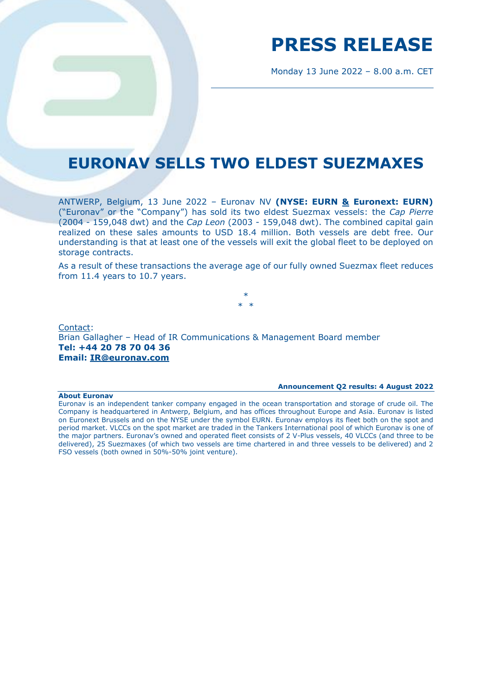# **PRESS RELEASE**

Monday 13 June 2022 – 8.00 a.m. CET

### **EURONAV SELLS TWO ELDEST SUEZMAXES**

ANTWERP, Belgium, 13 June 2022 – Euronav NV **(NYSE: EURN & Euronext: EURN)**  ("Euronav" or the "Company") has sold its two eldest Suezmax vessels: the *Cap Pierre* (2004 - 159,048 dwt) and the *Cap Leon* (2003 - 159,048 dwt). The combined capital gain realized on these sales amounts to USD 18.4 million. Both vessels are debt free. Our understanding is that at least one of the vessels will exit the global fleet to be deployed on storage contracts.

As a result of these transactions the average age of our fully owned Suezmax fleet reduces from 11.4 years to 10.7 years.

> \* \* \*

Contact: Brian Gallagher – Head of IR Communications & Management Board member **Tel: +44 20 78 70 04 36 Email: [IR@euronav.com](mailto:IR@euronav.com)**

#### **Announcement Q2 results: 4 August 2022**

### **About Euronav**

Euronav is an independent tanker company engaged in the ocean transportation and storage of crude oil. The Company is headquartered in Antwerp, Belgium, and has offices throughout Europe and Asia. Euronav is listed on Euronext Brussels and on the NYSE under the symbol EURN. Euronav employs its fleet both on the spot and period market. VLCCs on the spot market are traded in the Tankers International pool of which Euronav is one of the major partners. Euronav's owned and operated fleet consists of 2 V-Plus vessels, 40 VLCCs (and three to be delivered), 25 Suezmaxes (of which two vessels are time chartered in and three vessels to be delivered) and 2 FSO vessels (both owned in 50%-50% joint venture).